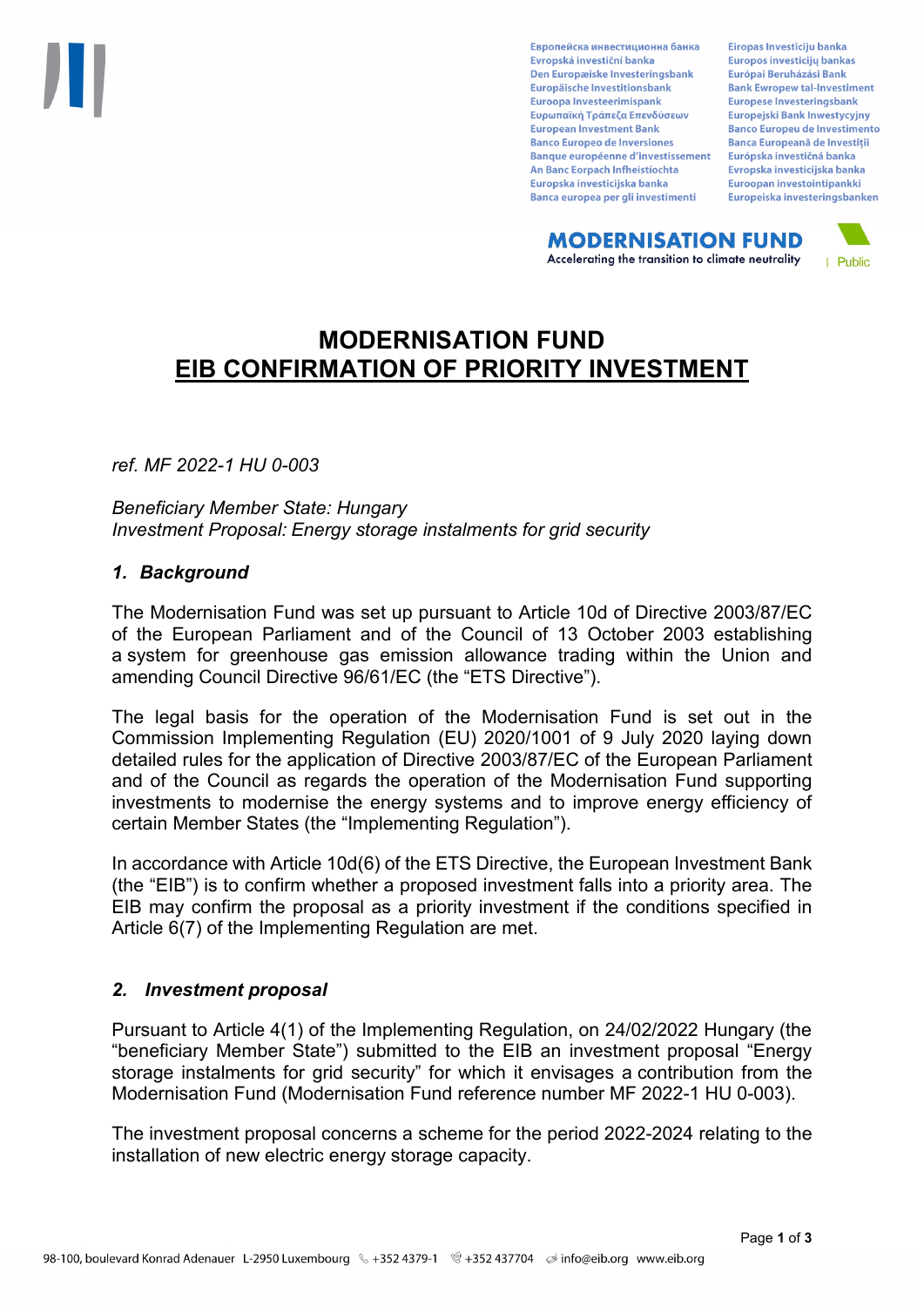Европейска инвестиционна банка Evropská investiční banka Den Europæiske Investeringsbank Europäische Investitionsbank Euroopa Investeerimispank Ευρωπαϊκή Τράπεζα Επενδύσεων **European Investment Bank Banco Europeo de Inversiones Banque européenne d'investissement** An Banc Eorpach Infheistíochta Europska investicijska banka Banca europea per gli investimenti

Eiropas Investīciju banka Europos investicijų bankas Európai Beruházási Bank **Bank Ewropew tal-Investiment** Europese Investeringsbank **Europeiski Bank Inwestycviny Banco Europeu de Investimento Banca Europeană de Investiții** Európska investičná banka Evropska investicijska banka Euroopan investointipankki Europeiska investeringsbanken

**MODERNISATION FUND** Accelerating the transition to climate neutrality



# **MODERNISATION FUND EIB CONFIRMATION OF PRIORITY INVESTMENT**

*ref. MF 2022-1 HU 0-003*

*Beneficiary Member State: Hungary Investment Proposal: Energy storage instalments for grid security*

## *1. Background*

The Modernisation Fund was set up pursuant to Article 10d of Directive 2003/87/EC of the European Parliament and of the Council of 13 October 2003 establishing a system for greenhouse gas emission allowance trading within the Union and amending Council Directive 96/61/EC (the "ETS Directive").

The legal basis for the operation of the Modernisation Fund is set out in the Commission Implementing Regulation (EU) 2020/1001 of 9 July 2020 laying down detailed rules for the application of Directive 2003/87/EC of the European Parliament and of the Council as regards the operation of the Modernisation Fund supporting investments to modernise the energy systems and to improve energy efficiency of certain Member States (the "Implementing Regulation").

In accordance with Article 10d(6) of the ETS Directive, the European Investment Bank (the "EIB") is to confirm whether a proposed investment falls into a priority area. The EIB may confirm the proposal as a priority investment if the conditions specified in Article 6(7) of the Implementing Regulation are met.

## *2. Investment proposal*

Pursuant to Article 4(1) of the Implementing Regulation, on 24/02/2022 Hungary (the "beneficiary Member State") submitted to the EIB an investment proposal "Energy storage instalments for grid security" for which it envisages a contribution from the Modernisation Fund (Modernisation Fund reference number MF 2022-1 HU 0-003).

The investment proposal concerns a scheme for the period 2022-2024 relating to the installation of new electric energy storage capacity.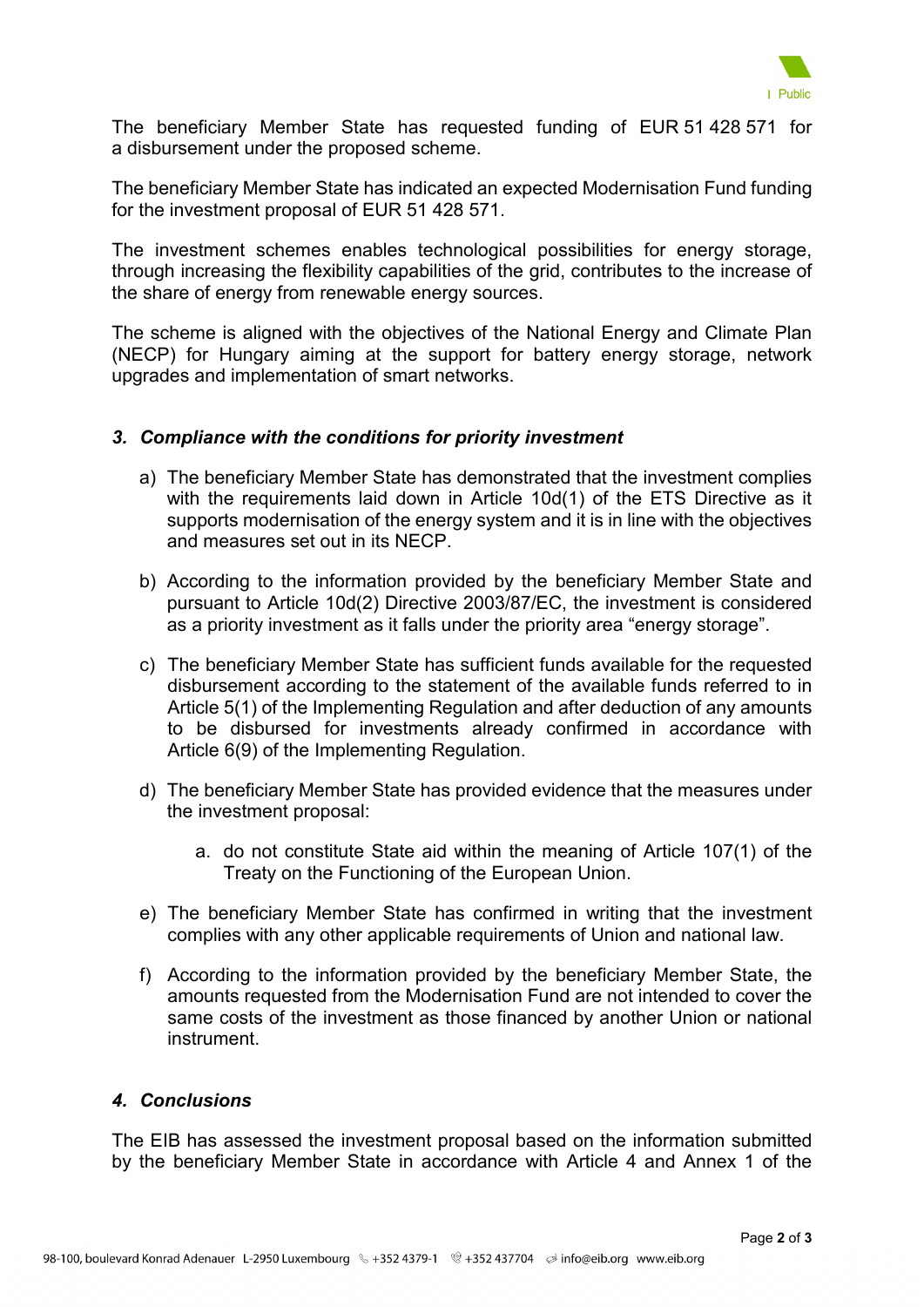

The beneficiary Member State has requested funding of EUR 51 428 571 for a disbursement under the proposed scheme.

The beneficiary Member State has indicated an expected Modernisation Fund funding for the investment proposal of EUR 51 428 571.

The investment schemes enables technological possibilities for energy storage, through increasing the flexibility capabilities of the grid, contributes to the increase of the share of energy from renewable energy sources.

The scheme is aligned with the objectives of the National Energy and Climate Plan (NECP) for Hungary aiming at the support for battery energy storage, network upgrades and implementation of smart networks.

### *3. Compliance with the conditions for priority investment*

- a) The beneficiary Member State has demonstrated that the investment complies with the requirements laid down in Article 10d(1) of the ETS Directive as it supports modernisation of the energy system and it is in line with the objectives and measures set out in its NECP.
- b) According to the information provided by the beneficiary Member State and pursuant to Article 10d(2) Directive 2003/87/EC, the investment is considered as a priority investment as it falls under the priority area "energy storage".
- c) The beneficiary Member State has sufficient funds available for the requested disbursement according to the statement of the available funds referred to in Article 5(1) of the Implementing Regulation and after deduction of any amounts to be disbursed for investments already confirmed in accordance with Article 6(9) of the Implementing Regulation.
- d) The beneficiary Member State has provided evidence that the measures under the investment proposal:
	- a. do not constitute State aid within the meaning of Article 107(1) of the Treaty on the Functioning of the European Union.
- e) The beneficiary Member State has confirmed in writing that the investment complies with any other applicable requirements of Union and national law.
- f) According to the information provided by the beneficiary Member State, the amounts requested from the Modernisation Fund are not intended to cover the same costs of the investment as those financed by another Union or national instrument.

## *4. Conclusions*

The EIB has assessed the investment proposal based on the information submitted by the beneficiary Member State in accordance with Article 4 and Annex 1 of the